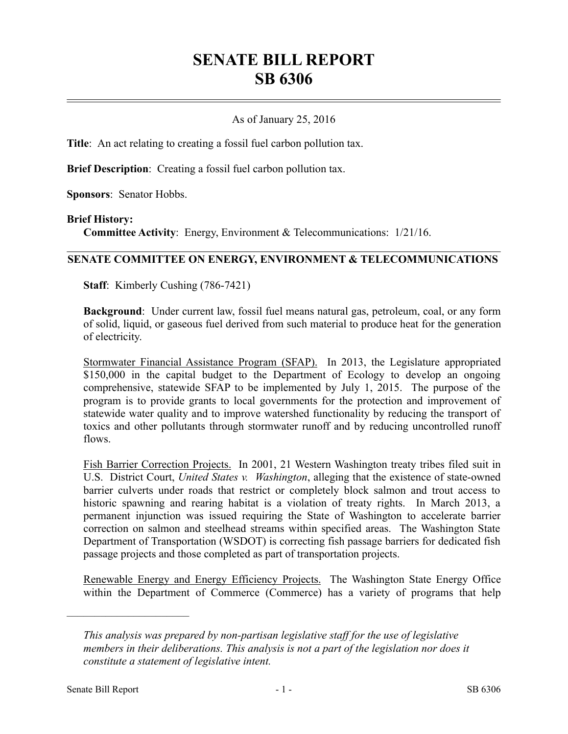# **SENATE BILL REPORT SB 6306**

## As of January 25, 2016

**Title**: An act relating to creating a fossil fuel carbon pollution tax.

**Brief Description**: Creating a fossil fuel carbon pollution tax.

**Sponsors**: Senator Hobbs.

#### **Brief History:**

**Committee Activity**: Energy, Environment & Telecommunications: 1/21/16.

### **SENATE COMMITTEE ON ENERGY, ENVIRONMENT & TELECOMMUNICATIONS**

**Staff**: Kimberly Cushing (786-7421)

**Background**: Under current law, fossil fuel means natural gas, petroleum, coal, or any form of solid, liquid, or gaseous fuel derived from such material to produce heat for the generation of electricity.

Stormwater Financial Assistance Program (SFAP). In 2013, the Legislature appropriated \$150,000 in the capital budget to the Department of Ecology to develop an ongoing comprehensive, statewide SFAP to be implemented by July 1, 2015. The purpose of the program is to provide grants to local governments for the protection and improvement of statewide water quality and to improve watershed functionality by reducing the transport of toxics and other pollutants through stormwater runoff and by reducing uncontrolled runoff flows.

Fish Barrier Correction Projects. In 2001, 21 Western Washington treaty tribes filed suit in U.S. District Court, *United States v. Washington*, alleging that the existence of state-owned barrier culverts under roads that restrict or completely block salmon and trout access to historic spawning and rearing habitat is a violation of treaty rights. In March 2013, a permanent injunction was issued requiring the State of Washington to accelerate barrier correction on salmon and steelhead streams within specified areas. The Washington State Department of Transportation (WSDOT) is correcting fish passage barriers for dedicated fish passage projects and those completed as part of transportation projects.

Renewable Energy and Energy Efficiency Projects. The Washington State Energy Office within the Department of Commerce (Commerce) has a variety of programs that help

––––––––––––––––––––––

*This analysis was prepared by non-partisan legislative staff for the use of legislative members in their deliberations. This analysis is not a part of the legislation nor does it constitute a statement of legislative intent.*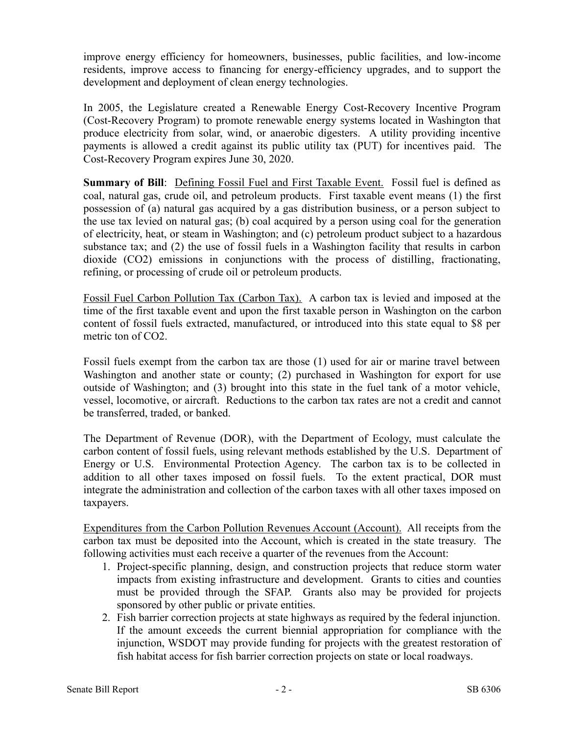improve energy efficiency for homeowners, businesses, public facilities, and low-income residents, improve access to financing for energy-efficiency upgrades, and to support the development and deployment of clean energy technologies.

In 2005, the Legislature created a Renewable Energy Cost-Recovery Incentive Program (Cost-Recovery Program) to promote renewable energy systems located in Washington that produce electricity from solar, wind, or anaerobic digesters. A utility providing incentive payments is allowed a credit against its public utility tax (PUT) for incentives paid. The Cost-Recovery Program expires June 30, 2020.

**Summary of Bill**: Defining Fossil Fuel and First Taxable Event. Fossil fuel is defined as coal, natural gas, crude oil, and petroleum products. First taxable event means (1) the first possession of (a) natural gas acquired by a gas distribution business, or a person subject to the use tax levied on natural gas; (b) coal acquired by a person using coal for the generation of electricity, heat, or steam in Washington; and (c) petroleum product subject to a hazardous substance tax; and (2) the use of fossil fuels in a Washington facility that results in carbon dioxide (CO2) emissions in conjunctions with the process of distilling, fractionating, refining, or processing of crude oil or petroleum products.

Fossil Fuel Carbon Pollution Tax (Carbon Tax). A carbon tax is levied and imposed at the time of the first taxable event and upon the first taxable person in Washington on the carbon content of fossil fuels extracted, manufactured, or introduced into this state equal to \$8 per metric ton of CO<sub>2</sub>.

Fossil fuels exempt from the carbon tax are those (1) used for air or marine travel between Washington and another state or county; (2) purchased in Washington for export for use outside of Washington; and (3) brought into this state in the fuel tank of a motor vehicle, vessel, locomotive, or aircraft. Reductions to the carbon tax rates are not a credit and cannot be transferred, traded, or banked.

The Department of Revenue (DOR), with the Department of Ecology, must calculate the carbon content of fossil fuels, using relevant methods established by the U.S. Department of Energy or U.S. Environmental Protection Agency. The carbon tax is to be collected in addition to all other taxes imposed on fossil fuels. To the extent practical, DOR must integrate the administration and collection of the carbon taxes with all other taxes imposed on taxpayers.

Expenditures from the Carbon Pollution Revenues Account (Account). All receipts from the carbon tax must be deposited into the Account, which is created in the state treasury. The following activities must each receive a quarter of the revenues from the Account:

- 1. Project-specific planning, design, and construction projects that reduce storm water impacts from existing infrastructure and development. Grants to cities and counties must be provided through the SFAP. Grants also may be provided for projects sponsored by other public or private entities.
- 2. Fish barrier correction projects at state highways as required by the federal injunction. If the amount exceeds the current biennial appropriation for compliance with the injunction, WSDOT may provide funding for projects with the greatest restoration of fish habitat access for fish barrier correction projects on state or local roadways.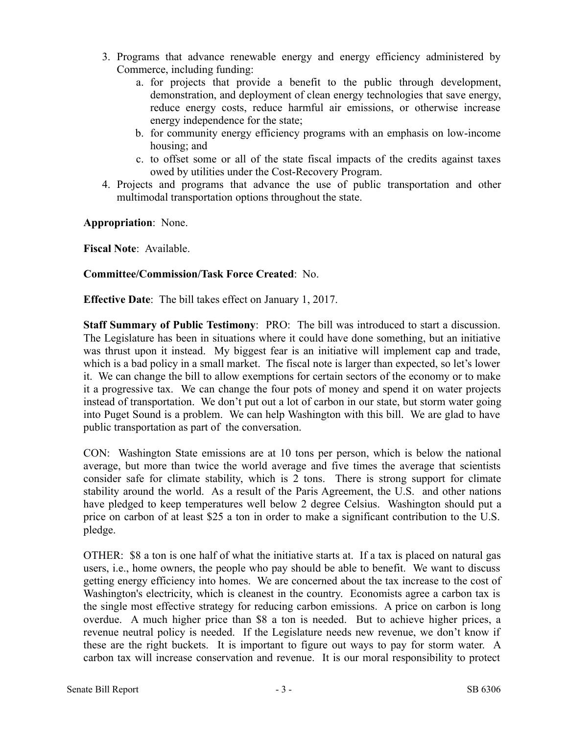- 3. Programs that advance renewable energy and energy efficiency administered by Commerce, including funding:
	- a. for projects that provide a benefit to the public through development, demonstration, and deployment of clean energy technologies that save energy, reduce energy costs, reduce harmful air emissions, or otherwise increase energy independence for the state;
	- b. for community energy efficiency programs with an emphasis on low-income housing; and
	- c. to offset some or all of the state fiscal impacts of the credits against taxes owed by utilities under the Cost-Recovery Program.
- 4. Projects and programs that advance the use of public transportation and other multimodal transportation options throughout the state.

**Appropriation**: None.

**Fiscal Note**: Available.

## **Committee/Commission/Task Force Created**: No.

**Effective Date**: The bill takes effect on January 1, 2017.

**Staff Summary of Public Testimony**: PRO: The bill was introduced to start a discussion. The Legislature has been in situations where it could have done something, but an initiative was thrust upon it instead. My biggest fear is an initiative will implement cap and trade, which is a bad policy in a small market. The fiscal note is larger than expected, so let's lower it. We can change the bill to allow exemptions for certain sectors of the economy or to make it a progressive tax. We can change the four pots of money and spend it on water projects instead of transportation. We don't put out a lot of carbon in our state, but storm water going into Puget Sound is a problem. We can help Washington with this bill. We are glad to have public transportation as part of the conversation.

CON: Washington State emissions are at 10 tons per person, which is below the national average, but more than twice the world average and five times the average that scientists consider safe for climate stability, which is 2 tons. There is strong support for climate stability around the world. As a result of the Paris Agreement, the U.S. and other nations have pledged to keep temperatures well below 2 degree Celsius. Washington should put a price on carbon of at least \$25 a ton in order to make a significant contribution to the U.S. pledge.

OTHER: \$8 a ton is one half of what the initiative starts at. If a tax is placed on natural gas users, i.e., home owners, the people who pay should be able to benefit. We want to discuss getting energy efficiency into homes. We are concerned about the tax increase to the cost of Washington's electricity, which is cleanest in the country. Economists agree a carbon tax is the single most effective strategy for reducing carbon emissions. A price on carbon is long overdue. A much higher price than \$8 a ton is needed. But to achieve higher prices, a revenue neutral policy is needed. If the Legislature needs new revenue, we don't know if these are the right buckets. It is important to figure out ways to pay for storm water. A carbon tax will increase conservation and revenue. It is our moral responsibility to protect